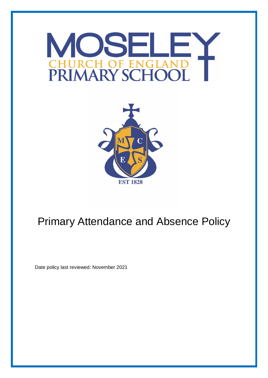



# Primary Attendance and Absence Policy

Date policy last reviewed: November 2021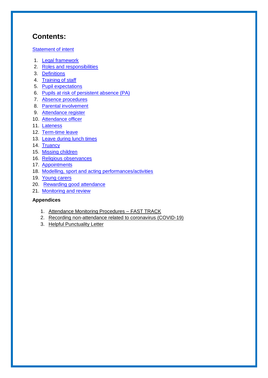# **Contents:**

### **[Statement of intent](#page-1-0)**

- 1. **[Legal framework](#page-4-0)**
- 2. [Roles and responsibilities](#page-4-1)
- 3. [Definitions](#page-5-0)
- 4. [Training of staff](#page-6-0)
- 5. [Pupil expectations](#page-6-1)
- 6. [Pupils at risk of persistent absence](#page-6-2) (PA)
- 7. [Absence procedures](#page-7-0)
- 8. [Parental involvement](#page-8-0)
- 9. [Attendance register](#page-8-1)
- 10. [Attendance officer](#page-9-0)
- 11. [Lateness](#page-9-1)
- 12. [Term-time leave](#page-10-0)
- 13. [Leave during lunch times](#page-10-1)
- 14. [Truancy](#page-10-2)
- 15. [Missing children](#page-11-0)
- 16. [Religious observances](#page-12-0)
- 17. [Appointments](#page-12-1)
- 18. [Modelling, sport and acting performances/activities](#page-13-0)
- 19. [Young carers](#page-13-1)
- 20. [Rewarding good attendance](#page-14-0)
- 21. Monitoring and review

### **Appendices**

- 1. Attendance Monitoring Procedures FAST TRACK
- 2. Recording non-attendance related to coronavirus (COVID-19)
- <span id="page-1-0"></span>3. Helpful Punctuality Letter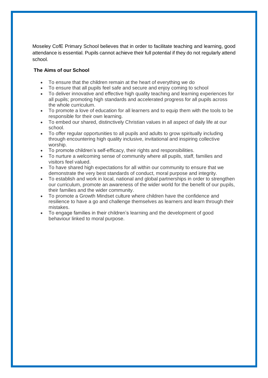Moseley CofE Primary School believes that in order to facilitate teaching and learning, good attendance is essential. Pupils cannot achieve their full potential if they do not regularly attend school.

### **The Aims of our School**

- To ensure that the children remain at the heart of everything we do
- To ensure that all pupils feel safe and secure and enjoy coming to school
- To deliver innovative and effective high quality teaching and learning experiences for all pupils; promoting high standards and accelerated progress for all pupils across the whole curriculum.
- To promote a love of education for all learners and to equip them with the tools to be responsible for their own learning.
- To embed our shared, distinctively Christian values in all aspect of daily life at our school.
- To offer regular opportunities to all pupils and adults to grow spiritually including through encountering high quality inclusive, invitational and inspiring collective worship.
- To promote children's self-efficacy, their rights and responsibilities.
- To nurture a welcoming sense of community where all pupils, staff, families and visitors feel valued.
- To have shared high expectations for all within our community to ensure that we demonstrate the very best standards of conduct, moral purpose and integrity.
- To establish and work in local, national and global partnerships in order to strengthen our curriculum, promote an awareness of the wider world for the benefit of our pupils, their families and the wider community.
- To promote a Growth Mindset culture where children have the confidence and resilience to have a go and challenge themselves as learners and learn through their mistakes.
- To engage families in their children's learning and the development of good behaviour linked to moral purpose.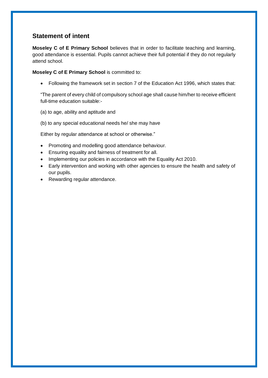# **Statement of intent**

**Moseley C of E Primary School** believes that in order to facilitate teaching and learning, good attendance is essential. Pupils cannot achieve their full potential if they do not regularly attend school.

**Moseley C of E Primary School** is committed to:

Following the framework set in section 7 of the Education Act 1996, which states that:

"The parent of every child of compulsory school age shall cause him/her to receive efficient full-time education suitable:-

- (a) to age, ability and aptitude and
- (b) to any special educational needs he/ she may have

Either by regular attendance at school or otherwise."

- Promoting and modelling good attendance behaviour.
- Ensuring equality and fairness of treatment for all.
- Implementing our policies in accordance with the Equality Act 2010.
- Early intervention and working with other agencies to ensure the health and safety of our pupils.
- Rewarding regular attendance.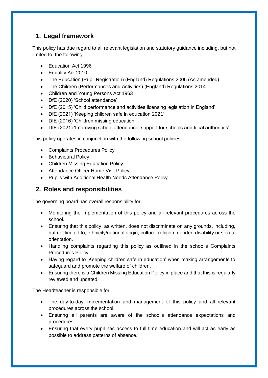# <span id="page-4-0"></span>**1. Legal framework**

This policy has due regard to all relevant legislation and statutory guidance including, but not limited to, the following:

- Education Act 1996
- Equality Act 2010
- The Education (Pupil Registration) (England) Regulations 2006 (As amended)
- The Children (Performances and Activities) (England) Regulations 2014
- Children and Young Persons Act 1963
- DfE (2020) 'School attendance'
- DfE (2015) 'Child performance and activities licensing legislation in England'
- DfE (2021) 'Keeping children safe in education 2021'
- DfE (2016) 'Children missing education'
- DfE (2021) 'Improving school attendance: support for schools and local authorities'

This policy operates in conjunction with the following school policies:

- Complaints Procedures Policy
- Behavioural Policy
- Children Missing Education Policy
- Attendance Officer Home Visit Policy
- Pupils with Additional Health Needs Attendance Policy

# <span id="page-4-1"></span>**2. Roles and responsibilities**

The governing board has overall responsibility for:

- Monitoring the implementation of this policy and all relevant procedures across the school.
- Ensuring that this policy, as written, does not discriminate on any grounds, including, but not limited to, ethnicity/national origin, culture, religion, gender, disability or sexual orientation.
- Handling complaints regarding this policy as outlined in the school's Complaints Procedures Policy.
- Having regard to 'Keeping children safe in education' when making arrangements to safeguard and promote the welfare of children.
- Ensuring there is a Children Missing Education Policy in place and that this is regularly reviewed and updated.

The Headteacher is responsible for:

- The day-to-day implementation and management of this policy and all relevant procedures across the school.
- Ensuring all parents are aware of the school's attendance expectations and procedures.
- Ensuring that every pupil has access to full-time education and will act as early as possible to address patterns of absence.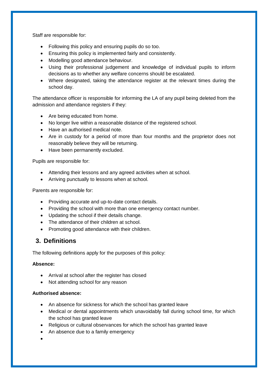Staff are responsible for:

- Following this policy and ensuring pupils do so too.
- Ensuring this policy is implemented fairly and consistently.
- Modelling good attendance behaviour.
- Using their professional judgement and knowledge of individual pupils to inform decisions as to whether any welfare concerns should be escalated.
- Where designated, taking the attendance register at the relevant times during the school day.

The attendance officer is responsible for informing the LA of any pupil being deleted from the admission and attendance registers if they:

- Are being educated from home.
- No longer live within a reasonable distance of the registered school.
- Have an authorised medical note.
- Are in custody for a period of more than four months and the proprietor does not reasonably believe they will be returning.
- Have been permanently excluded.

Pupils are responsible for:

- Attending their lessons and any agreed activities when at school.
- Arriving punctually to lessons when at school.

Parents are responsible for:

- Providing accurate and up-to-date contact details.
- Providing the school with more than one emergency contact number.
- Updating the school if their details change.
- The attendance of their children at school.
- Promoting good attendance with their children.

# <span id="page-5-0"></span>**3. Definitions**

The following definitions apply for the purposes of this policy:

#### **Absence:**

- Arrival at school after the register has closed
- Not attending school for any reason

#### **Authorised absence:**

- An absence for sickness for which the school has granted leave
- Medical or dental appointments which unavoidably fall during school time, for which the school has granted leave
- Religious or cultural observances for which the school has granted leave
- An absence due to a family emergency

 $\bullet$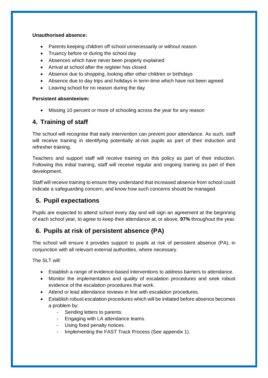#### **Unauthorised absence:**

- Parents keeping children off school unnecessarily or without reason
- Truancy before or during the school day
- Absences which have never been properly explained
- Arrival at school after the register has closed
- Absence due to shopping, looking after other children or birthdays
- Absence due to day trips and holidays in term-time which have not been agreed
- Leaving school for no reason during the day

#### **Persistent absenteeism:**

Missing 10 percent or more of schooling across the year for any reason

# <span id="page-6-0"></span>**4. Training of staff**

The school will recognise that early intervention can prevent poor attendance. As such, staff will receive training in identifying potentially at-risk pupils as part of their induction and refresher training.

Teachers and support staff will receive training on this policy as part of their induction. Following this initial training, staff will receive regular and ongoing training as part of their development.

Staff will receive training to ensure they understand that increased absence from school could indicate a safeguarding concern, and know how such concerns should be managed.

# <span id="page-6-1"></span>**5. Pupil expectations**

Pupils are expected to attend school every day and will sign an agreement at the beginning of each school year, to agree to keep their attendance at, or above, **97%** throughout the year.

# <span id="page-6-2"></span>**6. Pupils at risk of persistent absence (PA)**

The school will ensure it provides support to pupils at risk of persistent absence (PA), in conjunction with all relevant external authorities, where necessary.

The SLT will:

- Establish a range of evidence-based interventions to address barriers to attendance.
- Monitor the implementation and quality of escalation procedures and seek robust evidence of the escalation procedures that work.
- Attend or lead attendance reviews in line with escalation procedures.
- Establish robust escalation procedures which will be initiated before absence becomes a problem by:
	- Sending letters to parents.
	- Engaging with LA attendance teams.
	- Using fixed penalty notices.
	- Implementing the FAST Track Process (See appendix 1).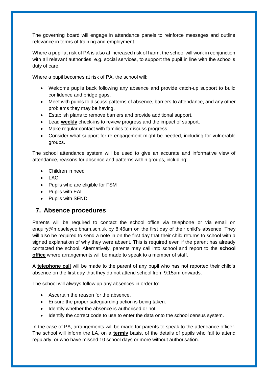The governing board will engage in attendance panels to reinforce messages and outline relevance in terms of training and employment.

Where a pupil at risk of PA is also at increased risk of harm, the school will work in conjunction with all relevant authorities, e.g. social services, to support the pupil in line with the school's duty of care.

Where a pupil becomes at risk of PA, the school will:

- Welcome pupils back following any absence and provide catch-up support to build confidence and bridge gaps.
- Meet with pupils to discuss patterns of absence, barriers to attendance, and any other problems they may be having.
- Establish plans to remove barriers and provide additional support.
- Lead **weekly** check-ins to review progress and the impact of support.
- Make regular contact with families to discuss progress.
- Consider what support for re-engagement might be needed, including for vulnerable groups.

The school attendance system will be used to give an accurate and informative view of attendance, reasons for absence and patterns within groups, including:

- Children in need
- $\bullet$  LAC
- Pupils who are eligible for FSM
- Pupils with EAL
- Pupils with SEND

# <span id="page-7-0"></span>**7. Absence procedures**

Parents will be required to contact the school office via telephone or via email on enquiry@moseleyce.bham.sch.uk by 8:45am on the first day of their child's absence. They will also be required to send a note in on the first day that their child returns to school with a signed explanation of why they were absent. This is required even if the parent has already contacted the school. Alternatively, parents may call into school and report to the **school office** where arrangements will be made to speak to a member of staff.

A **telephone call** will be made to the parent of any pupil who has not reported their child's absence on the first day that they do not attend school from 9:15am onwards.

The school will always follow up any absences in order to:

- Ascertain the reason for the absence.
- Ensure the proper safeguarding action is being taken.
- Identify whether the absence is authorised or not.
- Identify the correct code to use to enter the data onto the school census system.

In the case of PA, arrangements will be made for parents to speak to the attendance officer. The school will inform the LA, on a **termly** basis, of the details of pupils who fail to attend regularly, or who have missed 10 school days or more without authorisation.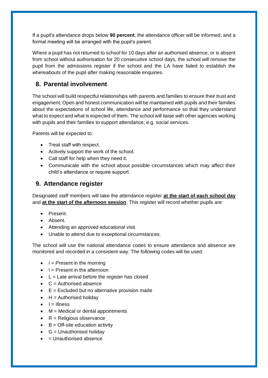If a pupil's attendance drops below **90 percent**, the attendance officer will be informed, and a formal meeting will be arranged with the pupil's parent.

Where a pupil has not returned to school for 10 days after an authorised absence, or is absent from school without authorisation for 20 consecutive school days, the school will remove the pupil from the admissions register if the school and the LA have failed to establish the whereabouts of the pupil after making reasonable enquiries.

# <span id="page-8-0"></span>**8. Parental involvement**

The school will build respectful relationships with parents and families to ensure their trust and engagement. Open and honest communication will be maintained with pupils and their families about the expectations of school life, attendance and performance so that they understand what to expect and what is expected of them. The school will liaise with other agencies working with pupils and their families to support attendance, e.g. social services.

Parents will be expected to:

- Treat staff with respect.
- Actively support the work of the school.
- Call staff for help when they need it.
- Communicate with the school about possible circumstances which may affect their child's attendance or require support.

# <span id="page-8-1"></span>**9. Attendance register**

Designated staff members will take the attendance register **at the start of each school day** and **at the start of the afternoon session**. This register will record whether pupils are:

- Present.
- Absent.
- Attending an approved educational visit.
- Unable to attend due to exceptional circumstances.

The school will use the national attendance codes to ensure attendance and absence are monitored and recorded in a consistent way. The following codes will be used:

- $\bullet$  / = Present in the morning
- $\bullet \quad \dagger$  = Present in the afternoon
- $\bullet$  L = Late arrival before the register has closed
- $\bullet$   $C =$  Authorised absence
- $\bullet$   $E = Excluded$  but no alternative provision made
- $H =$  Authorised holidav
- $I = I$ llness
- $M =$  Medical or dental appointments
- $\bullet$  R = Religious observance
- $\bullet$  B = Off-site education activity
- $\bullet$  G = Unauthorised holiday
- $\bullet$  = Unauthorised absence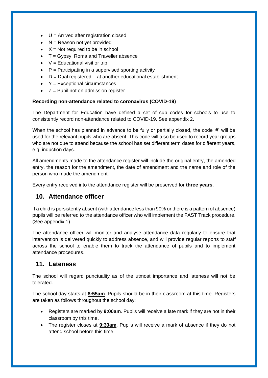- $\bullet$  U = Arrived after registration closed
- $\bullet$  N = Reason not yet provided
- $\bullet$   $X = Not required to be in school$
- $\bullet$  T = Gypsy, Roma and Traveller absence
- $\bullet$   $V =$  Educational visit or trip
- $\bullet$  P = Participating in a supervised sporting activity
- $\bullet$  D = Dual registered at another educational establishment
- $\textbf{Y} =$  Exceptional circumstances
- $\bullet$   $Z =$  Pupil not on admission register

#### **Recording non-attendance related to coronavirus (COVID-19)**

The Department for Education have defined a set of sub codes for schools to use to consistently record non-attendance related to COVID-19. See appendix 2.

When the school has planned in advance to be fully or partially closed, the code '#' will be used for the relevant pupils who are absent. This code will also be used to record year groups who are not due to attend because the school has set different term dates for different years, e.g. induction days.

All amendments made to the attendance register will include the original entry, the amended entry, the reason for the amendment, the date of amendment and the name and role of the person who made the amendment.

Every entry received into the attendance register will be preserved for **three years**.

# <span id="page-9-0"></span>**10. Attendance officer**

If a child is persistently absent (with attendance less than 90% or there is a pattern of absence) pupils will be referred to the attendance officer who will implement the FAST Track procedure. (See appendix 1)

The attendance officer will monitor and analyse attendance data regularly to ensure that intervention is delivered quickly to address absence, and will provide regular reports to staff across the school to enable them to track the attendance of pupils and to implement attendance procedures.

### <span id="page-9-1"></span>**11. Lateness**

The school will regard punctuality as of the utmost importance and lateness will not be tolerated.

The school day starts at **8:55am**. Pupils should be in their classroom at this time. Registers are taken as follows throughout the school day:

- Registers are marked by **9:00am**. Pupils will receive a late mark if they are not in their classroom by this time.
- The register closes at **9:30am**. Pupils will receive a mark of absence if they do not attend school before this time.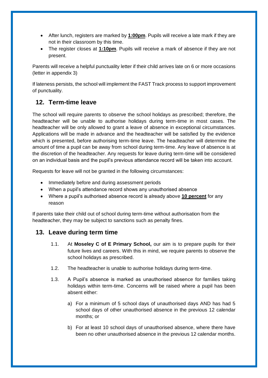- After lunch, registers are marked by **1:00pm**. Pupils will receive a late mark if they are not in their classroom by this time.
- The register closes at **1:10pm**. Pupils will receive a mark of absence if they are not present.

Parents will receive a helpful punctuality letter if their child arrives late on 6 or more occasions (letter in appendix 3)

If lateness persists, the school will implement the FAST Track process to support improvement of punctuality.

# <span id="page-10-0"></span>**12. Term-time leave**

The school will require parents to observe the school holidays as prescribed; therefore, the headteacher will be unable to authorise holidays during term-time in most cases. The headteacher will be only allowed to grant a leave of absence in exceptional circumstances. Applications will be made in advance and the headteacher will be satisfied by the evidence which is presented, before authorising term-time leave. The headteacher will determine the amount of time a pupil can be away from school during term-time. Any leave of absence is at the discretion of the headteacher. Any requests for leave during term-time will be considered on an individual basis and the pupil's previous attendance record will be taken into account.

Requests for leave will not be granted in the following circumstances:

- Immediately before and during assessment periods
- When a pupil's attendance record shows any unauthorised absence
- Where a pupil's authorised absence record is already above **10 percent** for any reason

If parents take their child out of school during term-time without authorisation from the headteacher, they may be subject to sanctions such as penalty fines.

# <span id="page-10-2"></span><span id="page-10-1"></span>**13. Leave during term time**

- 1.1. At **Moseley C of E Primary School,** our aim is to prepare pupils for their future lives and careers. With this in mind, we require parents to observe the school holidays as prescribed.
- 1.2. The headteacher is unable to authorise holidays during term-time.
- 1.3. A Pupil's absence is marked as unauthorised absence for families taking holidays within term-time. Concerns will be raised where a pupil has been absent either:
	- a) For a minimum of 5 school days of unauthorised days AND has had 5 school days of other unauthorised absence in the previous 12 calendar months; or
	- b) For at least 10 school days of unauthorised absence, where there have been no other unauthorised absence in the previous 12 calendar months.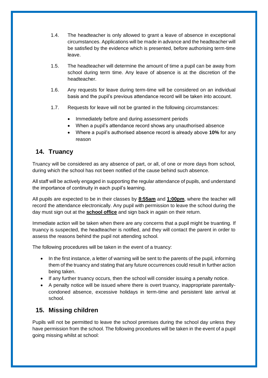- 1.4. The headteacher is only allowed to grant a leave of absence in exceptional circumstances. Applications will be made in advance and the headteacher will be satisfied by the evidence which is presented, before authorising term-time leave.
- 1.5. The headteacher will determine the amount of time a pupil can be away from school during term time. Any leave of absence is at the discretion of the headteacher.
- 1.6. Any requests for leave during term-time will be considered on an individual basis and the pupil's previous attendance record will be taken into account.
- 1.7. Requests for leave will not be granted in the following circumstances:
	- Immediately before and during assessment periods
	- When a pupil's attendance record shows any unauthorised absence
	- Where a pupil's authorised absence record is already above **10%** for any reason

# **14. Truancy**

Truancy will be considered as any absence of part, or all, of one or more days from school, during which the school has not been notified of the cause behind such absence.

All staff will be actively engaged in supporting the regular attendance of pupils, and understand the importance of continuity in each pupil's learning.

All pupils are expected to be in their classes by **8:55am** and **1:00pm**, where the teacher will record the attendance electronically. Any pupil with permission to leave the school during the day must sign out at the **school office** and sign back in again on their return.

Immediate action will be taken when there are any concerns that a pupil might be truanting. If truancy is suspected, the headteacher is notified, and they will contact the parent in order to assess the reasons behind the pupil not attending school.

The following procedures will be taken in the event of a truancy:

- In the first instance, a letter of warning will be sent to the parents of the pupil, informing them of the truancy and stating that any future occurrences could result in further action being taken.
- If any further truancy occurs, then the school will consider issuing a penalty notice.
- A penalty notice will be issued where there is overt truancy, inappropriate parentallycondoned absence, excessive holidays in term-time and persistent late arrival at school.

# <span id="page-11-0"></span>**15. Missing children**

Pupils will not be permitted to leave the school premises during the school day unless they have permission from the school. The following procedures will be taken in the event of a pupil going missing whilst at school: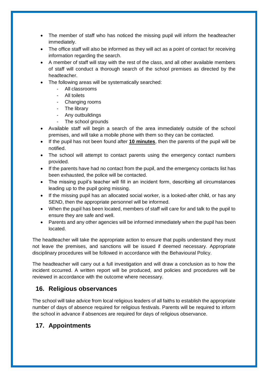- The member of staff who has noticed the missing pupil will inform the headteacher immediately.
- The office staff will also be informed as they will act as a point of contact for receiving information regarding the search.
- A member of staff will stay with the rest of the class, and all other available members of staff will conduct a thorough search of the school premises as directed by the headteacher.
- The following areas will be systematically searched:
	- All classrooms
	- All toilets
	- Changing rooms
	- The library
	- Any outbuildings
	- The school grounds
- Available staff will begin a search of the area immediately outside of the school premises, and will take a mobile phone with them so they can be contacted.
- If the pupil has not been found after **10 minutes**, then the parents of the pupil will be notified.
- The school will attempt to contact parents using the emergency contact numbers provided.
- If the parents have had no contact from the pupil, and the emergency contacts list has been exhausted, the police will be contacted.
- The missing pupil's teacher will fill in an incident form, describing all circumstances leading up to the pupil going missing.
- If the missing pupil has an allocated social worker, is a looked-after child, or has any SEND, then the appropriate personnel will be informed.
- When the pupil has been located, members of staff will care for and talk to the pupil to ensure they are safe and well.
- Parents and any other agencies will be informed immediately when the pupil has been located.

The headteacher will take the appropriate action to ensure that pupils understand they must not leave the premises, and sanctions will be issued if deemed necessary. Appropriate disciplinary procedures will be followed in accordance with the Behavioural Policy.

The headteacher will carry out a full investigation and will draw a conclusion as to how the incident occurred. A written report will be produced, and policies and procedures will be reviewed in accordance with the outcome where necessary.

# <span id="page-12-0"></span>**16. Religious observances**

The school will take advice from local religious leaders of all faiths to establish the appropriate number of days of absence required for religious festivals. Parents will be required to inform the school in advance if absences are required for days of religious observance.

# <span id="page-12-1"></span>**17. Appointments**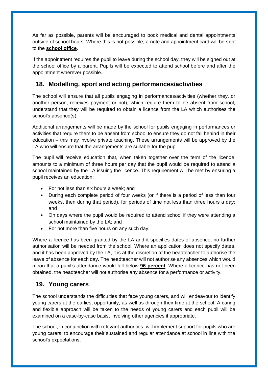As far as possible, parents will be encouraged to book medical and dental appointments outside of school hours. Where this is not possible, a note and appointment card will be sent to the **school office**.

If the appointment requires the pupil to leave during the school day, they will be signed out at the school office by a parent. Pupils will be expected to attend school before and after the appointment wherever possible.

# <span id="page-13-0"></span>**18. Modelling, sport and acting performances/activities**

The school will ensure that all pupils engaging in performances/activities (whether they, or another person, receives payment or not), which require them to be absent from school, understand that they will be required to obtain a licence from the LA which authorises the school's absence(s).

Additional arrangements will be made by the school for pupils engaging in performances or activities that require them to be absent from school to ensure they do not fall behind in their education – this may involve private teaching. These arrangements will be approved by the LA who will ensure that the arrangements are suitable for the pupil.

The pupil will receive education that, when taken together over the term of the licence, amounts to a minimum of three hours per day that the pupil would be required to attend a school maintained by the LA issuing the licence. This requirement will be met by ensuring a pupil receives an education:

- For not less than six hours a week; and
- During each complete period of four weeks (or if there is a period of less than four weeks, then during that period), for periods of time not less than three hours a day; and
- On days where the pupil would be required to attend school if they were attending a school maintained by the LA; and
- For not more than five hours on any such day.

Where a licence has been granted by the LA and it specifies dates of absence, no further authorisation will be needed from the school. Where an application does not specify dates, and it has been approved by the LA, it is at the discretion of the headteacher to authorise the leave of absence for each day. The headteacher will not authorise any absences which would mean that a pupil's attendance would fall below **96 percent**. Where a licence has not been obtained, the headteacher will not authorise any absence for a performance or activity.

# <span id="page-13-1"></span>**19. Young carers**

The school understands the difficulties that face young carers, and will endeavour to identify young carers at the earliest opportunity, as well as through their time at the school. A caring and flexible approach will be taken to the needs of young carers and each pupil will be examined on a case-by-case basis, involving other agencies if appropriate.

The school, in conjunction with relevant authorities, will implement support for pupils who are young carers, to encourage their sustained and regular attendance at school in line with the school's expectations.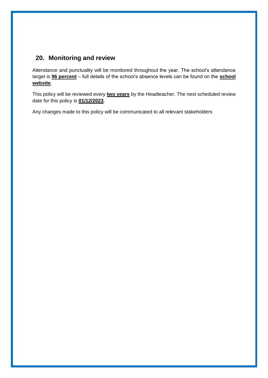# <span id="page-14-0"></span>**20. Monitoring and review**

Attendance and punctuality will be monitored throughout the year. The school's attendance target is **96 percent** – full details of the school's absence levels can be found on the **school website**.

This policy will be reviewed every **two years** by the Headteacher. The next scheduled review date for this policy is **01/12/2023**.

Any changes made to this policy will be communicated to all relevant stakeholders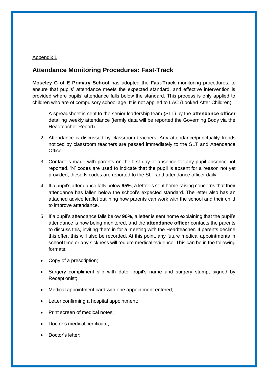#### Appendix 1

# **Attendance Monitoring Procedures: Fast-Track**

**Moseley C of E Primary School** has adopted the **Fast-Track** monitoring procedures, to ensure that pupils' attendance meets the expected standard, and effective intervention is provided where pupils' attendance falls below the standard. This process is only applied to children who are of compulsory school age. It is not applied to LAC (Looked After Children).

- 1. A spreadsheet is sent to the senior leadership team (SLT) by the **attendance officer** detailing weekly attendance (termly data will be reported the Governing Body via the Headteacher Report).
- 2. Attendance is discussed by classroom teachers. Any attendance/punctuality trends noticed by classroom teachers are passed immediately to the SLT and Attendance Officer.
- 3. Contact is made with parents on the first day of absence for any pupil absence not reported. 'N' codes are used to indicate that the pupil is absent for a reason not yet provided; these N codes are reported to the SLT and attendance officer daily.
- 4. If a pupil's attendance falls below **95%**, a letter is sent home raising concerns that their attendance has fallen below the school's expected standard. The letter also has an attached advice leaflet outlining how parents can work with the school and their child to improve attendance.
- 5. If a pupil's attendance falls below **90%**, a letter is sent home explaining that the pupil's attendance is now being monitored, and the **attendance officer** contacts the parents to discuss this, inviting them in for a meeting with the Headteacher. If parents decline this offer, this will also be recorded. At this point, any future medical appointments in school time or any sickness will require medical evidence. This can be in the following formats:
- Copy of a prescription;
- Surgery compliment slip with date, pupil's name and surgery stamp, signed by Receptionist;
- Medical appointment card with one appointment entered;
- Letter confirming a hospital appointment;
- Print screen of medical notes:
- Doctor's medical certificate;
- Doctor's letter;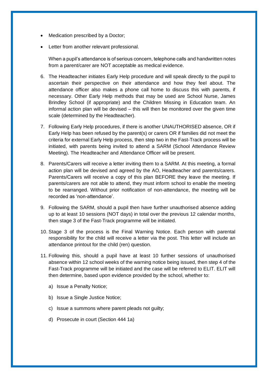- Medication prescribed by a Doctor;
- Letter from another relevant professional.

When a pupil's attendance is of serious concern, telephone calls and handwritten notes from a parent/carer are NOT acceptable as medical evidence.

- 6. The Headteacher initiates Early Help procedure and will speak directly to the pupil to ascertain their perspective on their attendance and how they feel about. The attendance officer also makes a phone call home to discuss this with parents, if necessary. Other Early Help methods that may be used are School Nurse, James Brindley School (if appropriate) and the Children Missing in Education team. An informal action plan will be devised – this will then be monitored over the given time scale (determined by the Headteacher).
- 7. Following Early Help procedures, if there is another UNAUTHORISED absence, OR if Early Help has been refused by the parent(s) or carers OR if families did not meet the criteria for external Early Help process, then step two in the Fast-Track process will be initiated, with parents being invited to attend a SARM (School Attendance Review Meeting). The Headteacher and Attendance Officer will be present.
- 8. Parents/Carers will receive a letter inviting them to a SARM. At this meeting, a formal action plan will be devised and agreed by the AO, Headteacher and parents/carers. Parents/Carers will receive a copy of this plan BEFORE they leave the meeting. If parents/carers are not able to attend, they must inform school to enable the meeting to be rearranged. Without prior notification of non-attendance, the meeting will be recorded as 'non-attendance'.
- 9. Following the SARM, should a pupil then have further unauthorised absence adding up to at least 10 sessions (NOT days) in total over the previous 12 calendar months, then stage 3 of the Fast-Track programme will be initiated.
- 10. Stage 3 of the process is the Final Warning Notice. Each person with parental responsibility for the child will receive a letter via the post. This letter will include an attendance printout for the child (ren) question.
- 11. Following this, should a pupil have at least 10 further sessions of unauthorised absence within 12 school weeks of the warning notice being issued, then step 4 of the Fast-Track programme will be initiated and the case will be referred to ELIT. ELIT will then determine, based upon evidence provided by the school, whether to:
	- a) Issue a Penalty Notice;
	- b) Issue a Single Justice Notice;
	- c) Issue a summons where parent pleads not guilty;
	- d) Prosecute in court (Section 444 1a)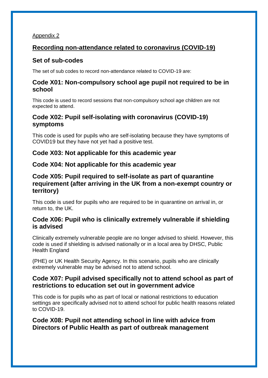### Appendix 2

# **Recording non-attendance related to coronavirus (COVID-19)**

# **Set of sub-codes**

The set of sub codes to record non-attendance related to COVID-19 are:

### **Code X01: Non-compulsory school age pupil not required to be in school**

This code is used to record sessions that non-compulsory school age children are not expected to attend.

# **Code X02: Pupil self-isolating with coronavirus (COVID-19) symptoms**

This code is used for pupils who are self-isolating because they have symptoms of COVID19 but they have not yet had a positive test.

# **Code X03: Not applicable for this academic year**

### **Code X04: Not applicable for this academic year**

# **Code X05: Pupil required to self-isolate as part of quarantine requirement (after arriving in the UK from a non-exempt country or territory)**

This code is used for pupils who are required to be in quarantine on arrival in, or return to, the UK.

# **Code X06: Pupil who is clinically extremely vulnerable if shielding is advised**

Clinically extremely vulnerable people are no longer advised to shield. However, this code is used if shielding is advised nationally or in a local area by DHSC, Public Health England

(PHE) or UK Health Security Agency. In this scenario, pupils who are clinically extremely vulnerable may be advised not to attend school.

# **Code X07: Pupil advised specifically not to attend school as part of restrictions to education set out in government advice**

This code is for pupils who as part of local or national restrictions to education settings are specifically advised not to attend school for public health reasons related to COVID-19.

**Code X08: Pupil not attending school in line with advice from Directors of Public Health as part of outbreak management**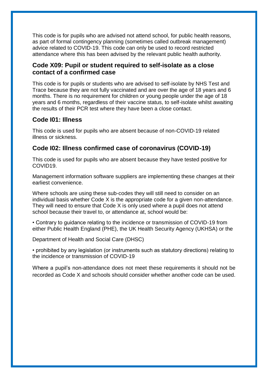This code is for pupils who are advised not attend school, for public health reasons, as part of formal contingency planning (sometimes called outbreak management) advice related to COVID-19. This code can only be used to record restricted attendance where this has been advised by the relevant public health authority.

# **Code X09: Pupil or student required to self-isolate as a close contact of a confirmed case**

This code is for pupils or students who are advised to self-isolate by NHS Test and Trace because they are not fully vaccinated and are over the age of 18 years and 6 months. There is no requirement for children or young people under the age of 18 years and 6 months, regardless of their vaccine status, to self-isolate whilst awaiting the results of their PCR test where they have been a close contact.

# **Code I01: Illness**

This code is used for pupils who are absent because of non-COVID-19 related illness or sickness.

# **Code I02: Illness confirmed case of coronavirus (COVID-19)**

This code is used for pupils who are absent because they have tested positive for COVID19.

Management information software suppliers are implementing these changes at their earliest convenience.

Where schools are using these sub-codes they will still need to consider on an individual basis whether Code X is the appropriate code for a given non-attendance. They will need to ensure that Code X is only used where a pupil does not attend school because their travel to, or attendance at, school would be:

• Contrary to guidance relating to the incidence or transmission of COVID-19 from either Public Health England (PHE), the UK Health Security Agency (UKHSA) or the

Department of Health and Social Care (DHSC)

• prohibited by any legislation (or instruments such as statutory directions) relating to the incidence or transmission of COVID-19

Where a pupil's non-attendance does not meet these requirements it should not be recorded as Code X and schools should consider whether another code can be used.